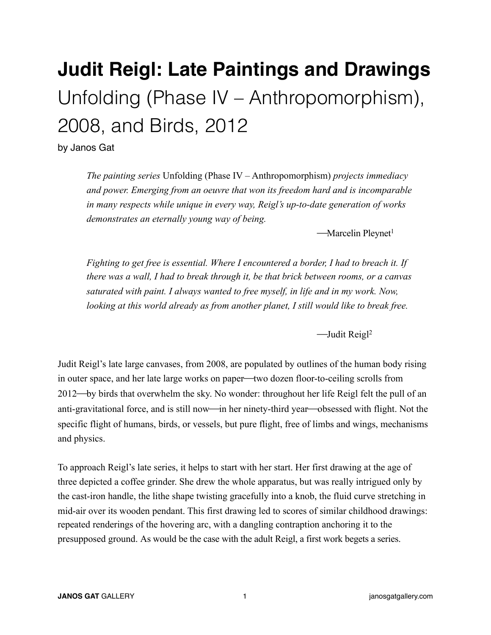## **Judit Reigl: Late Paintings and Drawings**  Unfolding (Phase IV – Anthropomorphism), 2008, and Birds, 2012

by Janos Gat

*The painting series* Unfolding (Phase IV – Anthropomorphism) *projects immediacy and power. Emerging from an oeuvre that won its freedom hard and is incomparable in many respects while unique in every way, Reigl's up-to-date generation of works demonstrates an eternally young way of being.* 

 $-Marcelin$  Pleynet<sup>1</sup>

*Fighting to get free is essential. Where I encountered a border, I had to breach it. If there was a wall, I had to break through it, be that brick between rooms, or a canvas saturated with paint. I always wanted to free myself, in life and in my work. Now, looking at this world already as from another planet, I still would like to break free.* 

 $\rightarrow$ Judit Reigl<sup>2</sup>

Judit Reigl's late large canvases, from 2008, are populated by outlines of the human body rising in outer space, and her late large works on paper—two dozen floor-to-ceiling scrolls from 2012—by birds that overwhelm the sky. No wonder: throughout her life Reigl felt the pull of an anti-gravitational force, and is still now—in her ninety-third year—obsessed with flight. Not the specific flight of humans, birds, or vessels, but pure flight, free of limbs and wings, mechanisms and physics.

To approach Reigl's late series, it helps to start with her start. Her first drawing at the age of three depicted a coffee grinder. She drew the whole apparatus, but was really intrigued only by the cast-iron handle, the lithe shape twisting gracefully into a knob, the fluid curve stretching in mid-air over its wooden pendant. This first drawing led to scores of similar childhood drawings: repeated renderings of the hovering arc, with a dangling contraption anchoring it to the presupposed ground. As would be the case with the adult Reigl, a first work begets a series.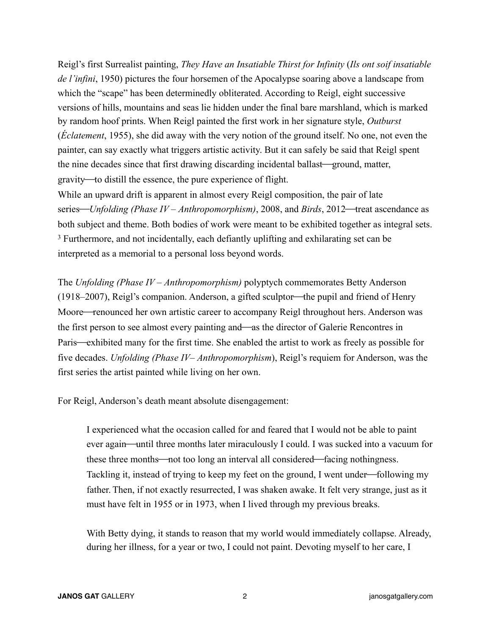Reigl's first Surrealist painting, *They Have an Insatiable Thirst for Infinity* (*Ils ont soif insatiable de l'infini*, 1950) pictures the four horsemen of the Apocalypse soaring above a landscape from which the "scape" has been determinedly obliterated. According to Reigl, eight successive versions of hills, mountains and seas lie hidden under the final bare marshland, which is marked by random hoof prints. When Reigl painted the first work in her signature style, *Outburst* (*Éclatement*, 1955), she did away with the very notion of the ground itself. No one, not even the painter, can say exactly what triggers artistic activity. But it can safely be said that Reigl spent the nine decades since that first drawing discarding incidental ballast—ground, matter, gravity—to distill the essence, the pure experience of flight.

While an upward drift is apparent in almost every Reigl composition, the pair of late series—*Unfolding (Phase IV – Anthropomorphism)*, 2008, and *Birds*, 2012—treat ascendance as both subject and theme. Both bodies of work were meant to be exhibited together as integral sets. 3 Furthermore, and not incidentally, each defiantly uplifting and exhilarating set can be interpreted as a memorial to a personal loss beyond words.

The *Unfolding (Phase IV* – *Anthropomorphism)* polyptych commemorates Betty Anderson (1918–2007), Reigl's companion. Anderson, a gifted sculptor—the pupil and friend of Henry Moore—renounced her own artistic career to accompany Reigl throughout hers. Anderson was the first person to see almost every painting and—as the director of Galerie Rencontres in Paris—exhibited many for the first time. She enabled the artist to work as freely as possible for five decades. *Unfolding (Phase IV*– *Anthropomorphism*), Reigl's requiem for Anderson, was the first series the artist painted while living on her own.

For Reigl, Anderson's death meant absolute disengagement:

I experienced what the occasion called for and feared that I would not be able to paint ever again—until three months later miraculously I could. I was sucked into a vacuum for these three months—not too long an interval all considered—facing nothingness. Tackling it, instead of trying to keep my feet on the ground, I went under—following my father. Then, if not exactly resurrected, I was shaken awake. It felt very strange, just as it must have felt in 1955 or in 1973, when I lived through my previous breaks.

With Betty dying, it stands to reason that my world would immediately collapse. Already, during her illness, for a year or two, I could not paint. Devoting myself to her care, I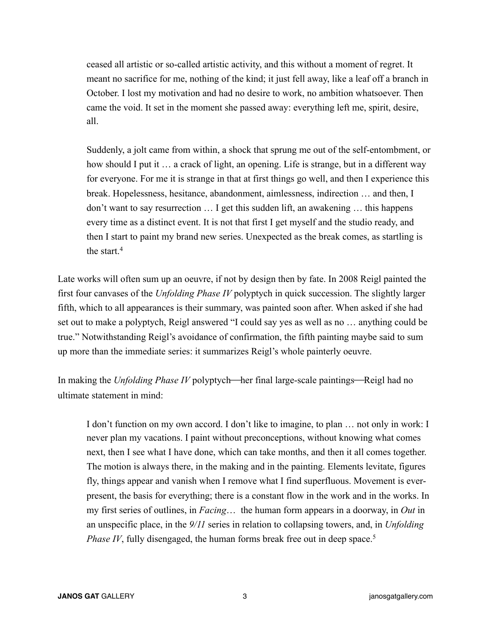ceased all artistic or so-called artistic activity, and this without a moment of regret. It meant no sacrifice for me, nothing of the kind; it just fell away, like a leaf off a branch in October. I lost my motivation and had no desire to work, no ambition whatsoever. Then came the void. It set in the moment she passed away: everything left me, spirit, desire, all.

Suddenly, a jolt came from within, a shock that sprung me out of the self-entombment, or how should I put it ... a crack of light, an opening. Life is strange, but in a different way for everyone. For me it is strange in that at first things go well, and then I experience this break. Hopelessness, hesitance, abandonment, aimlessness, indirection … and then, I don't want to say resurrection … I get this sudden lift, an awakening … this happens every time as a distinct event. It is not that first I get myself and the studio ready, and then I start to paint my brand new series. Unexpected as the break comes, as startling is the start.4

Late works will often sum up an oeuvre, if not by design then by fate. In 2008 Reigl painted the first four canvases of the *Unfolding Phase IV* polyptych in quick succession. The slightly larger fifth, which to all appearances is their summary, was painted soon after. When asked if she had set out to make a polyptych, Reigl answered "I could say yes as well as no … anything could be true." Notwithstanding Reigl's avoidance of confirmation, the fifth painting maybe said to sum up more than the immediate series: it summarizes Reigl's whole painterly oeuvre.

In making the *Unfolding Phase IV* polyptych—her final large-scale paintings—Reigl had no ultimate statement in mind:

I don't function on my own accord. I don't like to imagine, to plan … not only in work: I never plan my vacations. I paint without preconceptions, without knowing what comes next, then I see what I have done, which can take months, and then it all comes together. The motion is always there, in the making and in the painting. Elements levitate, figures fly, things appear and vanish when I remove what I find superfluous. Movement is everpresent, the basis for everything; there is a constant flow in the work and in the works. In my first series of outlines, in *Facing*… the human form appears in a doorway, in *Out* in an unspecific place, in the *9/11* series in relation to collapsing towers, and, in *Unfolding Phase IV*, fully disengaged, the human forms break free out in deep space.<sup>5</sup>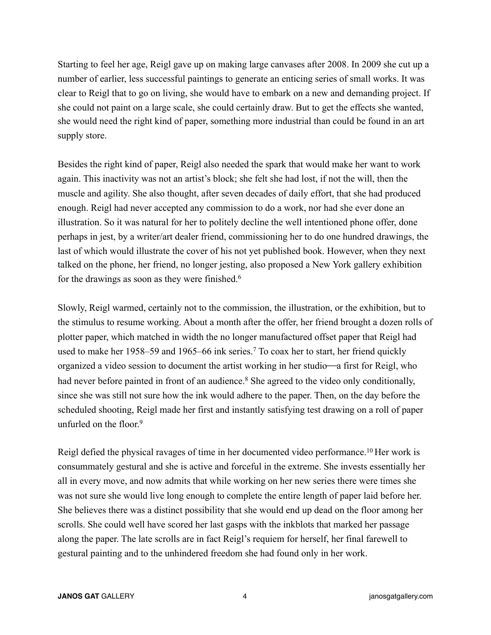Starting to feel her age, Reigl gave up on making large canvases after 2008. In 2009 she cut up a number of earlier, less successful paintings to generate an enticing series of small works. It was clear to Reigl that to go on living, she would have to embark on a new and demanding project. If she could not paint on a large scale, she could certainly draw. But to get the effects she wanted, she would need the right kind of paper, something more industrial than could be found in an art supply store.

Besides the right kind of paper, Reigl also needed the spark that would make her want to work again. This inactivity was not an artist's block; she felt she had lost, if not the will, then the muscle and agility. She also thought, after seven decades of daily effort, that she had produced enough. Reigl had never accepted any commission to do a work, nor had she ever done an illustration. So it was natural for her to politely decline the well intentioned phone offer, done perhaps in jest, by a writer/art dealer friend, commissioning her to do one hundred drawings, the last of which would illustrate the cover of his not yet published book. However, when they next talked on the phone, her friend, no longer jesting, also proposed a New York gallery exhibition for the drawings as soon as they were finished.<sup>6</sup>

Slowly, Reigl warmed, certainly not to the commission, the illustration, or the exhibition, but to the stimulus to resume working. About a month after the offer, her friend brought a dozen rolls of plotter paper, which matched in width the no longer manufactured offset paper that Reigl had used to make her 1958–59 and 1965–66 ink series.7 To coax her to start, her friend quickly organized a video session to document the artist working in her studio—a first for Reigl, who had never before painted in front of an audience.<sup>8</sup> She agreed to the video only conditionally, since she was still not sure how the ink would adhere to the paper. Then, on the day before the scheduled shooting, Reigl made her first and instantly satisfying test drawing on a roll of paper unfurled on the floor.<sup>9</sup>

Reigl defied the physical ravages of time in her documented video performance.<sup>10</sup> Her work is consummately gestural and she is active and forceful in the extreme. She invests essentially her all in every move, and now admits that while working on her new series there were times she was not sure she would live long enough to complete the entire length of paper laid before her. She believes there was a distinct possibility that she would end up dead on the floor among her scrolls. She could well have scored her last gasps with the inkblots that marked her passage along the paper. The late scrolls are in fact Reigl's requiem for herself, her final farewell to gestural painting and to the unhindered freedom she had found only in her work.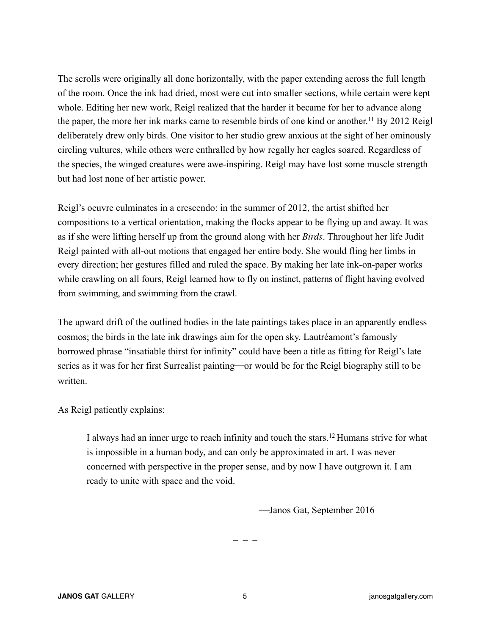The scrolls were originally all done horizontally, with the paper extending across the full length of the room. Once the ink had dried, most were cut into smaller sections, while certain were kept whole. Editing her new work, Reigl realized that the harder it became for her to advance along the paper, the more her ink marks came to resemble birds of one kind or another.11 By 2012 Reigl deliberately drew only birds. One visitor to her studio grew anxious at the sight of her ominously circling vultures, while others were enthralled by how regally her eagles soared. Regardless of the species, the winged creatures were awe-inspiring. Reigl may have lost some muscle strength but had lost none of her artistic power.

Reigl's oeuvre culminates in a crescendo: in the summer of 2012, the artist shifted her compositions to a vertical orientation, making the flocks appear to be flying up and away. It was as if she were lifting herself up from the ground along with her *Birds*. Throughout her life Judit Reigl painted with all-out motions that engaged her entire body. She would fling her limbs in every direction; her gestures filled and ruled the space. By making her late ink-on-paper works while crawling on all fours, Reigl learned how to fly on instinct, patterns of flight having evolved from swimming, and swimming from the crawl.

The upward drift of the outlined bodies in the late paintings takes place in an apparently endless cosmos; the birds in the late ink drawings aim for the open sky. Lautréamont's famously borrowed phrase "insatiable thirst for infinity" could have been a title as fitting for Reigl's late series as it was for her first Surrealist painting—or would be for the Reigl biography still to be written.

As Reigl patiently explains:

I always had an inner urge to reach infinity and touch the stars.12 Humans strive for what is impossible in a human body, and can only be approximated in art. I was never concerned with perspective in the proper sense, and by now I have outgrown it. I am ready to unite with space and the void.

⎯Janos Gat, September 2016

– – –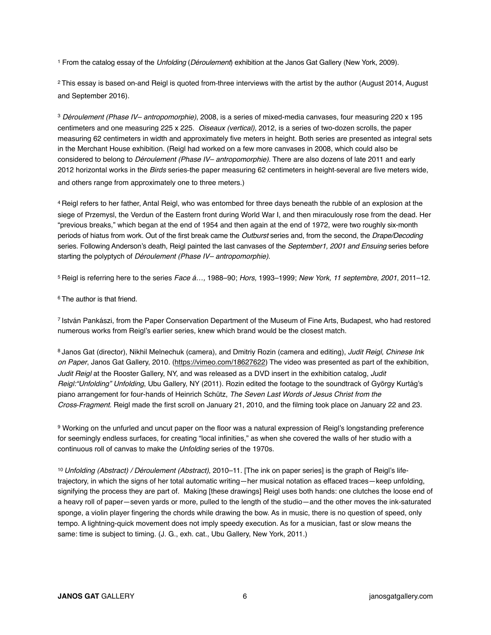1 From the catalog essay of the *Unfolding* (*Déroulement*) exhibition at the Janos Gat Gallery (New York, 2009).

<sup>2</sup> This essay is based on-and Reigl is quoted from-three interviews with the artist by the author (August 2014, August and September 2016).

<sup>3</sup> *Déroulement (Phase IV– antropomorphie)*, 2008, is a series of mixed-media canvases, four measuring 220 x 195 centimeters and one measuring 225 x 225. *Oiseaux (vertical),* 2012, is a series of two-dozen scrolls, the paper measuring 62 centimeters in width and approximately five meters in height. Both series are presented as integral sets in the Merchant House exhibition. (Reigl had worked on a few more canvases in 2008, which could also be considered to belong to *Déroulement (Phase IV– antropomorphie)*. There are also dozens of late 2011 and early 2012 horizontal works in the *Birds* series-the paper measuring 62 centimeters in height-several are five meters wide, and others range from approximately one to three meters.)

4 Reigl refers to her father, Antal Reigl, who was entombed for three days beneath the rubble of an explosion at the siege of Przemysl, the Verdun of the Eastern front during World War I, and then miraculously rose from the dead. Her "previous breaks," which began at the end of 1954 and then again at the end of 1972, were two roughly six-month periods of hiatus from work. Out of the first break came the *Outburst* series and, from the second, the *Drape/Decoding* series. Following Anderson's death, Reigl painted the last canvases of the *September1, 2001 and Ensuing* series before starting the polyptych of *Déroulement (Phase IV– antropomorphie)*.

5 Reigl is referring here to the series *Face á…,* 1988–90; *Hors,* 1993–1999; *New York, 11 septembre, 2001*, 2011–12.

6 The author is that friend.

7 István Pankászi, from the Paper Conservation Department of the Museum of Fine Arts, Budapest, who had restored numerous works from Reigl's earlier series, knew which brand would be the closest match.

8 Janos Gat (director), Nikhil Melnechuk (camera), and Dmitriy Rozin (camera and editing), *Judit Reigl, Chinese Ink on Paper*, Janos Gat Gallery, 2010. ([https://vimeo.com/18627622\)](https://vimeo.com/18627622) The video was presented as part of the exhibition, *Judit Reigl* at the Rooster Gallery, NY, and was released as a DVD insert in the exhibition catalog, *Judit Reigl:"Unfolding" Unfolding*, Ubu Gallery, NY (2011). Rozin edited the footage to the soundtrack of György Kurtág's piano arrangement for four-hands of Heinrich Schütz, *The Seven Last Words of Jesus Christ from the Cross*⎯*Fragment*. Reigl made the first scroll on January 21, 2010, and the filming took place on January 22 and 23.

9 Working on the unfurled and uncut paper on the floor was a natural expression of Reigl's longstanding preference for seemingly endless surfaces, for creating "local infinities," as when she covered the walls of her studio with a continuous roll of canvas to make the *Unfolding* series of the 1970s.

10 *Unfolding (Abstract) / Déroulement (Abstract)*, 2010–11. [The ink on paper series] is the graph of Reigl's lifetrajectory, in which the signs of her total automatic writing—her musical notation as effaced traces—keep unfolding, signifying the process they are part of. Making [these drawings] Reigl uses both hands: one clutches the loose end of a heavy roll of paper—seven yards or more, pulled to the length of the studio—and the other moves the ink-saturated sponge, a violin player fingering the chords while drawing the bow. As in music, there is no question of speed, only tempo. A lightning-quick movement does not imply speedy execution. As for a musician, fast or slow means the same: time is subject to timing. (J. G., exh. cat., Ubu Gallery, New York, 2011.)